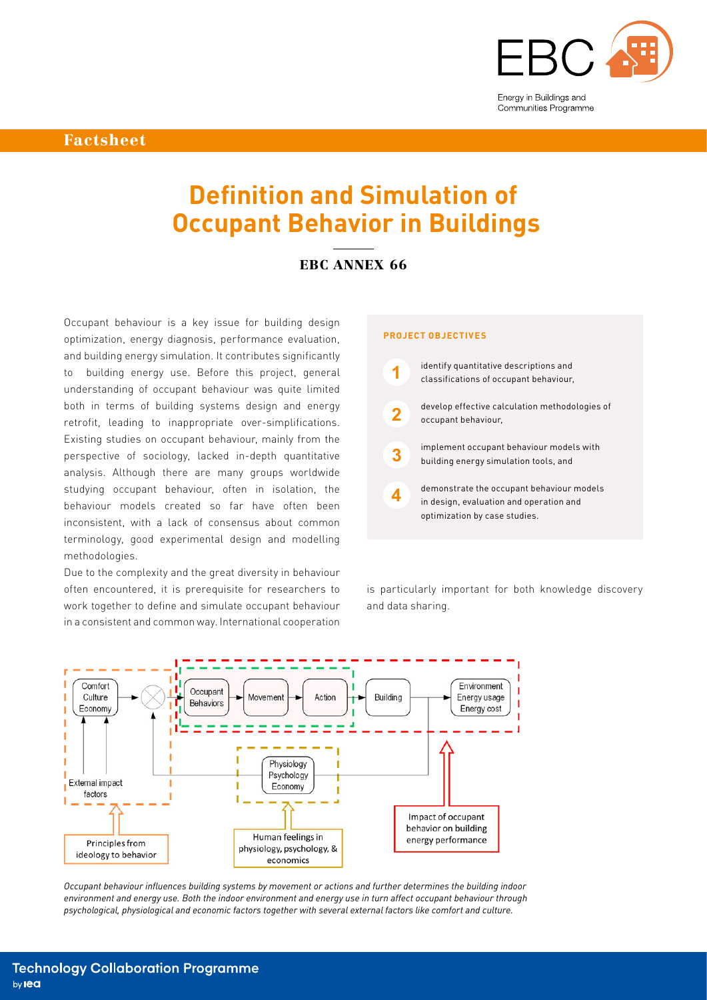

Factsheet

# **Definition and Simulation of Occupant Behavior in Buildings**

## EBC ANNEX 66

Occupant behaviour is a key issue for building design optimization, energy diagnosis, performance evaluation, and building energy simulation. It contributes significantly to building energy use. Before this project, general understanding of occupant behaviour was quite limited both in terms of building systems design and energy retrofit, leading to inappropriate over-simplifications. Existing studies on occupant behaviour, mainly from the perspective of sociology, lacked in-depth quantitative analysis. Although there are many groups worldwide studying occupant behaviour, often in isolation, the behaviour models created so far have often been inconsistent, with a lack of consensus about common terminology, good experimental design and modelling methodologies.

Due to the complexity and the great diversity in behaviour often encountered, it is prerequisite for researchers to work together to define and simulate occupant behaviour in a consistent and common way. International cooperation

## **PROJECT OBJECTIVES**



is particularly important for both knowledge discovery and data sharing.



*Occupant behaviour influences building systems by movement or actions and further determines the building indoor environment and energy use. Both the indoor environment and energy use in turn affect occupant behaviour through psychological, physiological and economic factors together with several external factors like comfort and culture.*